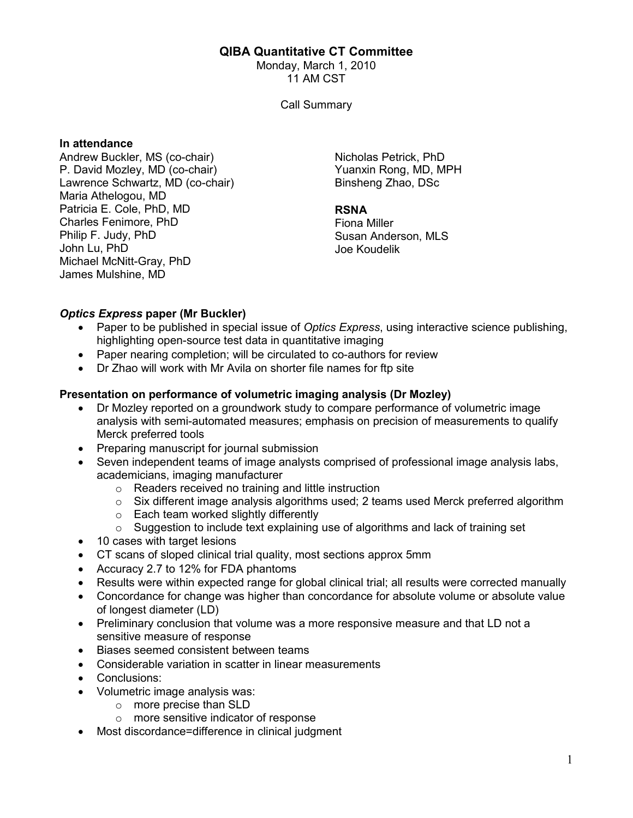# QIBA Quantitative CT Committee

Monday, March 1, 2010 11 AM CST

Call Summary

#### In attendance

Andrew Buckler, MS (co-chair) P. David Mozley, MD (co-chair) Lawrence Schwartz, MD (co-chair) Maria Athelogou, MD Patricia E. Cole, PhD, MD Charles Fenimore, PhD Philip F. Judy, PhD John Lu, PhD Michael McNitt-Gray, PhD James Mulshine, MD

Nicholas Petrick, PhD Yuanxin Rong, MD, MPH Binsheng Zhao, DSc

#### RSNA

Fiona Miller Susan Anderson, MLS Joe Koudelik

# Optics Express paper (Mr Buckler)

- Paper to be published in special issue of Optics Express, using interactive science publishing, highlighting open-source test data in quantitative imaging
- Paper nearing completion; will be circulated to co-authors for review
- Dr Zhao will work with Mr Avila on shorter file names for ftp site

# Presentation on performance of volumetric imaging analysis (Dr Mozley)

- Dr Mozley reported on a groundwork study to compare performance of volumetric image analysis with semi-automated measures; emphasis on precision of measurements to qualify Merck preferred tools
- Preparing manuscript for journal submission
- Seven independent teams of image analysts comprised of professional image analysis labs, academicians, imaging manufacturer
	- o Readers received no training and little instruction
	- o Six different image analysis algorithms used; 2 teams used Merck preferred algorithm
	- o Each team worked slightly differently
	- $\circ$  Suggestion to include text explaining use of algorithms and lack of training set
- 10 cases with target lesions
- CT scans of sloped clinical trial quality, most sections approx 5mm
- Accuracy 2.7 to 12% for FDA phantoms
- Results were within expected range for global clinical trial; all results were corrected manually
- Concordance for change was higher than concordance for absolute volume or absolute value of longest diameter (LD)
- Preliminary conclusion that volume was a more responsive measure and that LD not a sensitive measure of response
- Biases seemed consistent between teams
- Considerable variation in scatter in linear measurements
- Conclusions:
- Volumetric image analysis was:
	- o more precise than SLD
	- o more sensitive indicator of response
- Most discordance=difference in clinical judgment